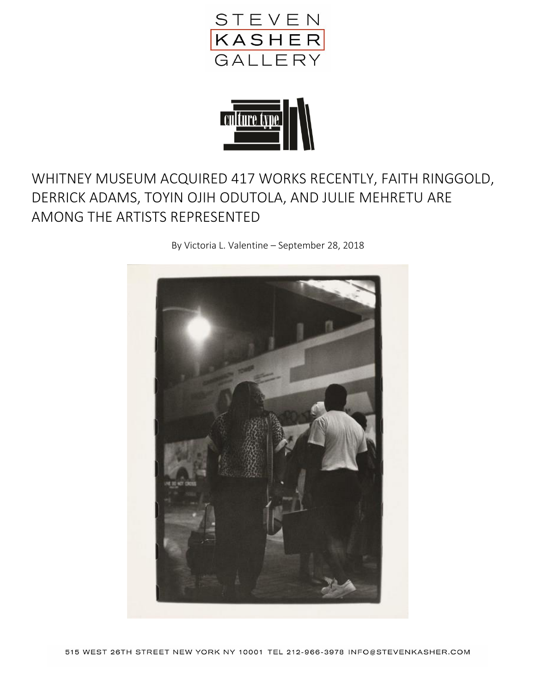



## WHITNEY MUSEUM ACQUIRED 417 WORKS RECENTLY, FAITH RINGGOLD, DERRICK ADAMS, TOYIN OJIH ODUTOLA, AND JULIE MEHRETU ARE AMONG THE ARTISTS REPRESENTED

By Victoria L. Valentine – September 28, 2018

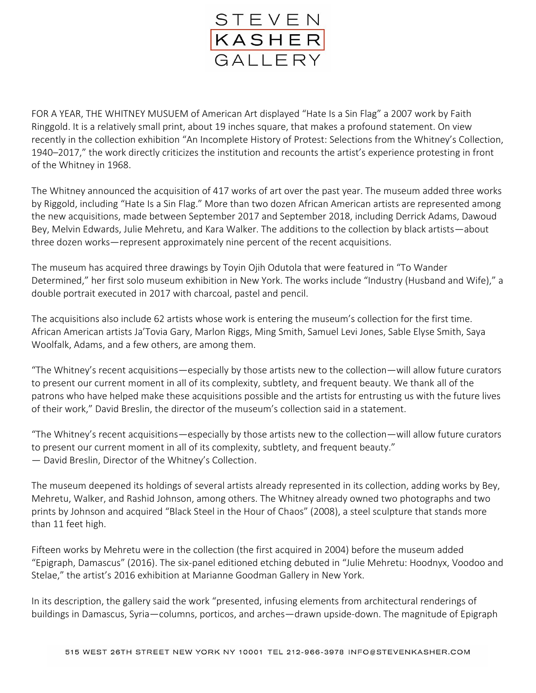

FOR A YEAR, THE WHITNEY MUSUEM of American Art displayed "Hate Is a Sin Flag" a 2007 work by Faith Ringgold. It is a relatively small print, about 19 inches square, that makes a profound statement. On view recently in the collection exhibition "An Incomplete History of Protest: Selections from the Whitney's Collection, 1940–2017," the work directly criticizes the institution and recounts the artist's experience protesting in front of the Whitney in 1968.

The Whitney announced the acquisition of 417 works of art over the past year. The museum added three works by Riggold, including "Hate Is a Sin Flag." More than two dozen African American artists are represented among the new acquisitions, made between September 2017 and September 2018, including Derrick Adams, Dawoud Bey, Melvin Edwards, Julie Mehretu, and Kara Walker. The additions to the collection by black artists—about three dozen works—represent approximately nine percent of the recent acquisitions.

The museum has acquired three drawings by Toyin Ojih Odutola that were featured in "To Wander Determined," her first solo museum exhibition in New York. The works include "Industry (Husband and Wife)," a double portrait executed in 2017 with charcoal, pastel and pencil.

The acquisitions also include 62 artists whose work is entering the museum's collection for the first time. African American artists Ja'Tovia Gary, Marlon Riggs, Ming Smith, Samuel Levi Jones, Sable Elyse Smith, Saya Woolfalk, Adams, and a few others, are among them.

"The Whitney's recent acquisitions—especially by those artists new to the collection—will allow future curators to present our current moment in all of its complexity, subtlety, and frequent beauty. We thank all of the patrons who have helped make these acquisitions possible and the artists for entrusting us with the future lives of their work," David Breslin, the director of the museum's collection said in a statement.

"The Whitney's recent acquisitions—especially by those artists new to the collection—will allow future curators to present our current moment in all of its complexity, subtlety, and frequent beauty." — David Breslin, Director of the Whitney's Collection.

The museum deepened its holdings of several artists already represented in its collection, adding works by Bey, Mehretu, Walker, and Rashid Johnson, among others. The Whitney already owned two photographs and two prints by Johnson and acquired "Black Steel in the Hour of Chaos" (2008), a steel sculpture that stands more than 11 feet high.

Fifteen works by Mehretu were in the collection (the first acquired in 2004) before the museum added "Epigraph, Damascus" (2016). The six-panel editioned etching debuted in "Julie Mehretu: Hoodnyx, Voodoo and Stelae," the artist's 2016 exhibition at Marianne Goodman Gallery in New York.

In its description, the gallery said the work "presented, infusing elements from architectural renderings of buildings in Damascus, Syria—columns, porticos, and arches—drawn upside-down. The magnitude of Epigraph